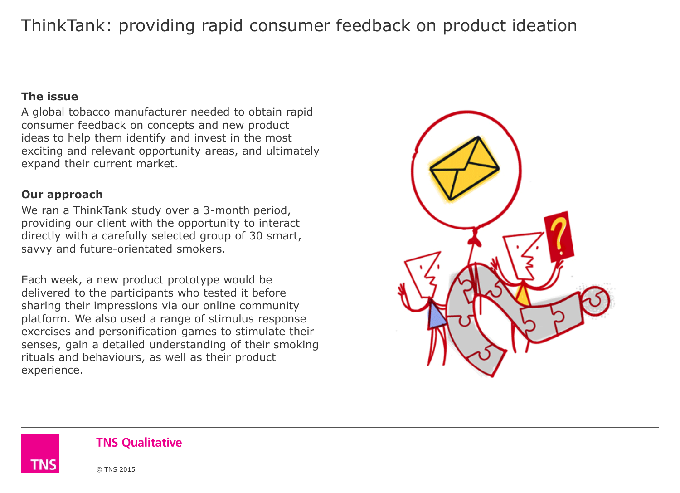## ThinkTank: providing rapid consumer feedback on product ideation

#### **The issue**

A global tobacco manufacturer needed to obtain rapid consumer feedback on concepts and new product ideas to help them identify and invest in the most exciting and relevant opportunity areas, and ultimately expand their current market.

#### **Our approach**

We ran a ThinkTank study over a 3-month period, providing our client with the opportunity to interact directly with a carefully selected group of 30 smart, savvy and future-orientated smokers.

Each week, a new product prototype would be delivered to the participants who tested it before sharing their impressions via our online community platform. We also used a range of stimulus response exercises and personification games to stimulate their senses, gain a detailed understanding of their smoking rituals and behaviours, as well as their product experience.



#### **TNS Oualitative**

© TNS 2015